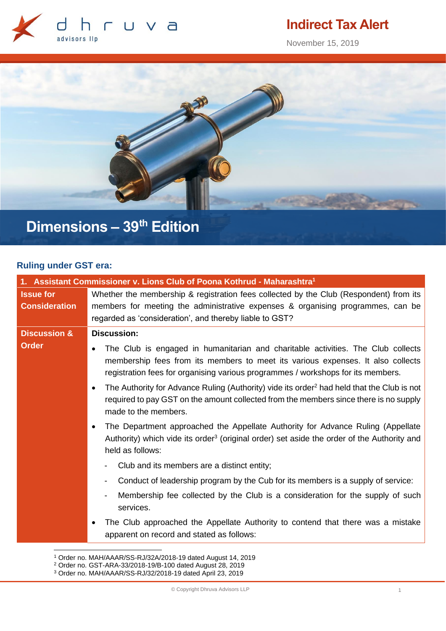

# **Indirect Tax Alert**

November 15, 2019



# **Dimensions – 39 th Edition**

## **Ruling under GST era:**

| 1. Assistant Commissioner v. Lions Club of Poona Kothrud - Maharashtra <sup>1</sup> |                                                                                                                                                                                                                                                                                                                                                                                                                                                                                                 |  |
|-------------------------------------------------------------------------------------|-------------------------------------------------------------------------------------------------------------------------------------------------------------------------------------------------------------------------------------------------------------------------------------------------------------------------------------------------------------------------------------------------------------------------------------------------------------------------------------------------|--|
| <b>Issue for</b><br><b>Consideration</b>                                            | Whether the membership & registration fees collected by the Club (Respondent) from its<br>members for meeting the administrative expenses & organising programmes, can be<br>regarded as 'consideration', and thereby liable to GST?                                                                                                                                                                                                                                                            |  |
| <b>Discussion &amp;</b>                                                             | <b>Discussion:</b>                                                                                                                                                                                                                                                                                                                                                                                                                                                                              |  |
| <b>Order</b>                                                                        | The Club is engaged in humanitarian and charitable activities. The Club collects<br>membership fees from its members to meet its various expenses. It also collects<br>registration fees for organising various programmes / workshops for its members.<br>The Authority for Advance Ruling (Authority) vide its order <sup>2</sup> had held that the Club is not<br>$\bullet$<br>required to pay GST on the amount collected from the members since there is no supply<br>made to the members. |  |
|                                                                                     | The Department approached the Appellate Authority for Advance Ruling (Appellate<br>Authority) which vide its order <sup>3</sup> (original order) set aside the order of the Authority and<br>held as follows:                                                                                                                                                                                                                                                                                   |  |
|                                                                                     | Club and its members are a distinct entity;                                                                                                                                                                                                                                                                                                                                                                                                                                                     |  |
|                                                                                     | Conduct of leadership program by the Cub for its members is a supply of service:                                                                                                                                                                                                                                                                                                                                                                                                                |  |
|                                                                                     | Membership fee collected by the Club is a consideration for the supply of such<br>services.                                                                                                                                                                                                                                                                                                                                                                                                     |  |
|                                                                                     | The Club approached the Appellate Authority to contend that there was a mistake<br>apparent on record and stated as follows:                                                                                                                                                                                                                                                                                                                                                                    |  |

<sup>1</sup> Order no. MAH/AAAR/SS-RJ/32A/2018-19 dated August 14, 2019

<sup>2</sup> Order no. GST-ARA-33/2018-19/B-100 dated August 28, 2019

<sup>3</sup> Order no. MAH/AAAR/SS-RJ/32/2018-19 dated April 23, 2019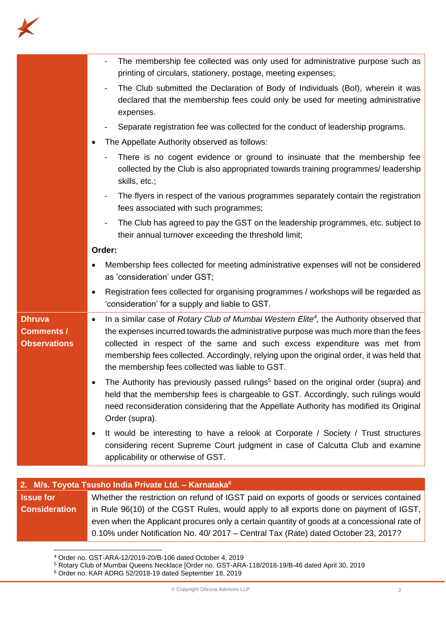

|                                                           | The membership fee collected was only used for administrative purpose such as<br>printing of circulars, stationery, postage, meeting expenses;                                                                                                                                                                                                                                                                                                                                                                                     |
|-----------------------------------------------------------|------------------------------------------------------------------------------------------------------------------------------------------------------------------------------------------------------------------------------------------------------------------------------------------------------------------------------------------------------------------------------------------------------------------------------------------------------------------------------------------------------------------------------------|
|                                                           | The Club submitted the Declaration of Body of Individuals (Bol), wherein it was<br>declared that the membership fees could only be used for meeting administrative<br>expenses.                                                                                                                                                                                                                                                                                                                                                    |
|                                                           | Separate registration fee was collected for the conduct of leadership programs.                                                                                                                                                                                                                                                                                                                                                                                                                                                    |
|                                                           | The Appellate Authority observed as follows:                                                                                                                                                                                                                                                                                                                                                                                                                                                                                       |
|                                                           | There is no cogent evidence or ground to insinuate that the membership fee<br>collected by the Club is also appropriated towards training programmes/ leadership<br>skills, etc.;                                                                                                                                                                                                                                                                                                                                                  |
|                                                           | The flyers in respect of the various programmes separately contain the registration<br>fees associated with such programmes;                                                                                                                                                                                                                                                                                                                                                                                                       |
|                                                           | The Club has agreed to pay the GST on the leadership programmes, etc. subject to<br>$\qquad \qquad \blacksquare$<br>their annual turnover exceeding the threshold limit;                                                                                                                                                                                                                                                                                                                                                           |
|                                                           | Order:                                                                                                                                                                                                                                                                                                                                                                                                                                                                                                                             |
|                                                           | Membership fees collected for meeting administrative expenses will not be considered<br>as 'consideration' under GST;                                                                                                                                                                                                                                                                                                                                                                                                              |
|                                                           | Registration fees collected for organising programmes / workshops will be regarded as<br>٠<br>'consideration' for a supply and liable to GST.                                                                                                                                                                                                                                                                                                                                                                                      |
| <b>Dhruva</b><br><b>Comments /</b><br><b>Observations</b> | In a similar case of Rotary Club of Mumbai Western Elite <sup>4</sup> , the Authority observed that<br>٠<br>the expenses incurred towards the administrative purpose was much more than the fees<br>collected in respect of the same and such excess expenditure was met from<br>membership fees collected. Accordingly, relying upon the original order, it was held that<br>the membership fees collected was liable to GST.<br>The Authority has previously passed rulings <sup>5</sup> based on the original order (supra) and |
|                                                           | held that the membership fees is chargeable to GST. Accordingly, such rulings would<br>need reconsideration considering that the Appellate Authority has modified its Original<br>Order (supra).                                                                                                                                                                                                                                                                                                                                   |
|                                                           | It would be interesting to have a relook at Corporate / Society / Trust structures<br>considering recent Supreme Court judgment in case of Calcutta Club and examine<br>applicability or otherwise of GST.                                                                                                                                                                                                                                                                                                                         |

### **2. M/s. Toyota Tsusho India Private Ltd. – Karnataka<sup>6</sup>**

### **Issue for Consideration** Whether the restriction on refund of IGST paid on exports of goods or services contained in Rule 96(10) of the CGST Rules, would apply to all exports done on payment of IGST, even when the Applicant procures only a certain quantity of goods at a concessional rate of 0.10% under Notification No. 40/ 2017 – Central Tax (Rate) dated October 23, 2017?

<sup>4</sup> Order no. GST-ARA-12/2019-20/B-106 dated October 4, 2019

<sup>5</sup> Rotary Club of Mumbai Queens Necklace [Order no. GST-ARA-118/2018-19/B-46 dated April 30, 2019

<sup>6</sup> Order no. KAR ADRG 52/2018-19 dated September 18, 2019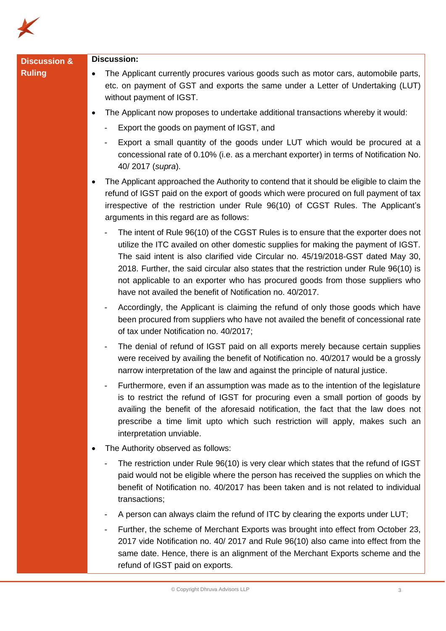

| <b>Ruling</b><br>The Applicant currently procures various goods such as motor cars, automobile parts,<br>$\bullet$<br>etc. on payment of GST and exports the same under a Letter of Undertaking (LUT)<br>without payment of IGST.<br>The Applicant now proposes to undertake additional transactions whereby it would:<br>$\bullet$<br>Export the goods on payment of IGST, and<br>Export a small quantity of the goods under LUT which would be procured at a<br>concessional rate of 0.10% (i.e. as a merchant exporter) in terms of Notification No.<br>40/2017 (supra).<br>The Applicant approached the Authority to contend that it should be eligible to claim the<br>٠<br>refund of IGST paid on the export of goods which were procured on full payment of tax<br>irrespective of the restriction under Rule 96(10) of CGST Rules. The Applicant's<br>arguments in this regard are as follows: |  |
|--------------------------------------------------------------------------------------------------------------------------------------------------------------------------------------------------------------------------------------------------------------------------------------------------------------------------------------------------------------------------------------------------------------------------------------------------------------------------------------------------------------------------------------------------------------------------------------------------------------------------------------------------------------------------------------------------------------------------------------------------------------------------------------------------------------------------------------------------------------------------------------------------------|--|
|                                                                                                                                                                                                                                                                                                                                                                                                                                                                                                                                                                                                                                                                                                                                                                                                                                                                                                        |  |
|                                                                                                                                                                                                                                                                                                                                                                                                                                                                                                                                                                                                                                                                                                                                                                                                                                                                                                        |  |
|                                                                                                                                                                                                                                                                                                                                                                                                                                                                                                                                                                                                                                                                                                                                                                                                                                                                                                        |  |
|                                                                                                                                                                                                                                                                                                                                                                                                                                                                                                                                                                                                                                                                                                                                                                                                                                                                                                        |  |
|                                                                                                                                                                                                                                                                                                                                                                                                                                                                                                                                                                                                                                                                                                                                                                                                                                                                                                        |  |
| The intent of Rule 96(10) of the CGST Rules is to ensure that the exporter does not<br>utilize the ITC availed on other domestic supplies for making the payment of IGST.<br>The said intent is also clarified vide Circular no. 45/19/2018-GST dated May 30,<br>2018. Further, the said circular also states that the restriction under Rule 96(10) is<br>not applicable to an exporter who has procured goods from those suppliers who<br>have not availed the benefit of Notification no. 40/2017.                                                                                                                                                                                                                                                                                                                                                                                                  |  |
| Accordingly, the Applicant is claiming the refund of only those goods which have<br>been procured from suppliers who have not availed the benefit of concessional rate<br>of tax under Notification no. 40/2017;                                                                                                                                                                                                                                                                                                                                                                                                                                                                                                                                                                                                                                                                                       |  |
| The denial of refund of IGST paid on all exports merely because certain supplies<br>were received by availing the benefit of Notification no. 40/2017 would be a grossly<br>narrow interpretation of the law and against the principle of natural justice.                                                                                                                                                                                                                                                                                                                                                                                                                                                                                                                                                                                                                                             |  |
| Furthermore, even if an assumption was made as to the intention of the legislature<br>is to restrict the refund of IGST for procuring even a small portion of goods by<br>availing the benefit of the aforesaid notification, the fact that the law does not<br>prescribe a time limit upto which such restriction will apply, makes such an<br>interpretation unviable.                                                                                                                                                                                                                                                                                                                                                                                                                                                                                                                               |  |
| The Authority observed as follows:<br>٠                                                                                                                                                                                                                                                                                                                                                                                                                                                                                                                                                                                                                                                                                                                                                                                                                                                                |  |
| The restriction under Rule 96(10) is very clear which states that the refund of IGST<br>paid would not be eligible where the person has received the supplies on which the<br>benefit of Notification no. 40/2017 has been taken and is not related to individual<br>transactions;                                                                                                                                                                                                                                                                                                                                                                                                                                                                                                                                                                                                                     |  |
| A person can always claim the refund of ITC by clearing the exports under LUT;                                                                                                                                                                                                                                                                                                                                                                                                                                                                                                                                                                                                                                                                                                                                                                                                                         |  |
| Further, the scheme of Merchant Exports was brought into effect from October 23,<br>2017 vide Notification no. 40/ 2017 and Rule 96(10) also came into effect from the<br>same date. Hence, there is an alignment of the Merchant Exports scheme and the<br>refund of IGST paid on exports.                                                                                                                                                                                                                                                                                                                                                                                                                                                                                                                                                                                                            |  |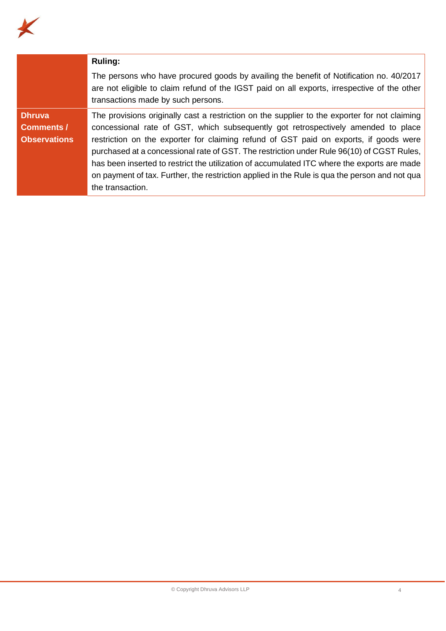

|                                                           | <b>Ruling:</b>                                                                                                                                                                                                                                                                                                                                                                                                                                                                                                                                                                               |
|-----------------------------------------------------------|----------------------------------------------------------------------------------------------------------------------------------------------------------------------------------------------------------------------------------------------------------------------------------------------------------------------------------------------------------------------------------------------------------------------------------------------------------------------------------------------------------------------------------------------------------------------------------------------|
|                                                           | The persons who have procured goods by availing the benefit of Notification no. 40/2017<br>are not eligible to claim refund of the IGST paid on all exports, irrespective of the other<br>transactions made by such persons.                                                                                                                                                                                                                                                                                                                                                                 |
| <b>Dhruva</b><br><b>Comments /</b><br><b>Observations</b> | The provisions originally cast a restriction on the supplier to the exporter for not claiming<br>concessional rate of GST, which subsequently got retrospectively amended to place<br>restriction on the exporter for claiming refund of GST paid on exports, if goods were<br>purchased at a concessional rate of GST. The restriction under Rule 96(10) of CGST Rules,<br>has been inserted to restrict the utilization of accumulated ITC where the exports are made<br>on payment of tax. Further, the restriction applied in the Rule is qua the person and not qua<br>the transaction. |